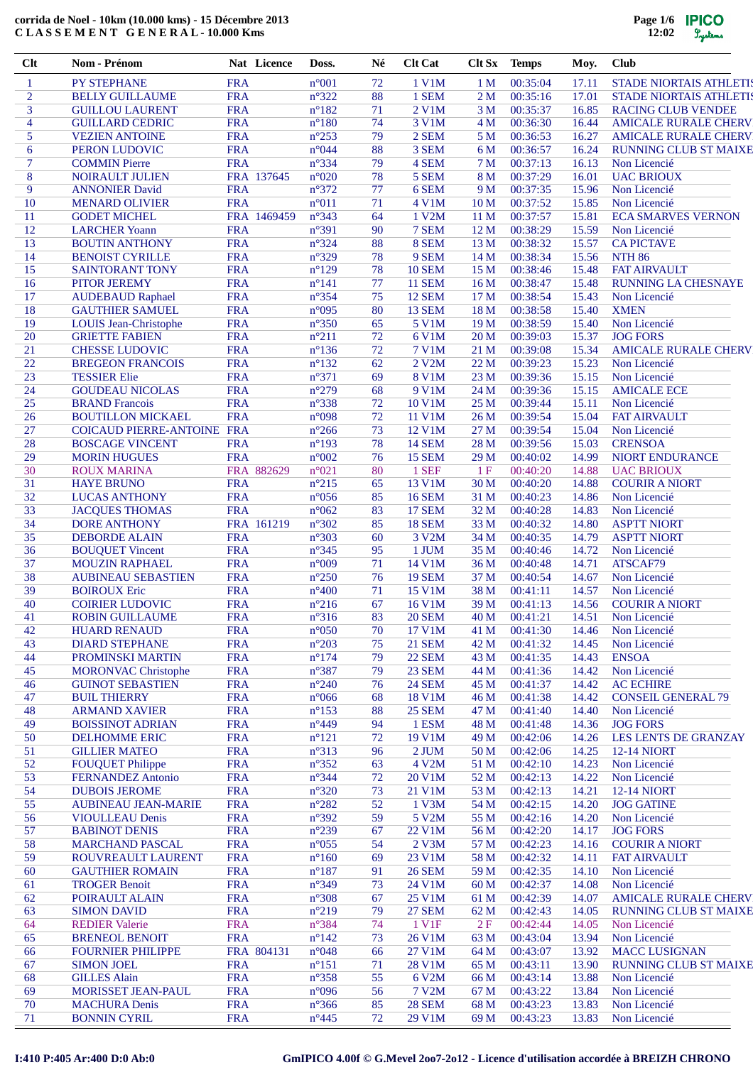| $Cl$ t                   | Nom - Prénom                                          |                          | Nat Licence | Doss.                            | Né       | <b>Clt Cat</b>                 | Clt Sx          | <b>Temps</b>         | Moy.           | <b>Club</b>                       |
|--------------------------|-------------------------------------------------------|--------------------------|-------------|----------------------------------|----------|--------------------------------|-----------------|----------------------|----------------|-----------------------------------|
| $\mathbf{1}$             | <b>PY STEPHANE</b>                                    | <b>FRA</b>               |             | $n^{\circ}001$                   | 72       | 1 V1M                          | 1 <sub>M</sub>  | 00:35:04             | 17.11          | <b>STADE NIORTAIS ATHLETIS</b>    |
| $\overline{2}$           | <b>BELLY GUILLAUME</b>                                | <b>FRA</b>               |             | $n^{\circ}322$                   | 88       | 1 SEM                          | 2M              | 00:35:16             | 17.01          | <b>STADE NIORTAIS ATHLETIS</b>    |
| 3                        | <b>GUILLOU LAURENT</b>                                | <b>FRA</b>               |             | $n^{\circ}182$                   | 71       | 2 V1M                          | 3 M             | 00:35:37             | 16.85          | <b>RACING CLUB VENDEE</b>         |
| $\overline{\mathcal{A}}$ | <b>GUILLARD CEDRIC</b>                                | <b>FRA</b>               |             | $n^{\circ}180$                   | 74       | 3 V1M                          | 4 M             | 00:36:30             | 16.44          | <b>AMICALE RURALE CHERV</b>       |
| 5                        | <b>VEZIEN ANTOINE</b>                                 | <b>FRA</b>               |             | $n^{\circ}253$                   | 79       | 2 SEM                          | 5 <sub>M</sub>  | 00:36:53             | 16.27          | <b>AMICALE RURALE CHERV</b>       |
| 6                        | PERON LUDOVIC                                         | <b>FRA</b>               |             | n°044                            | 88       | 3 SEM                          | 6 M             | 00:36:57             | 16.24          | <b>RUNNING CLUB ST MAIXE</b>      |
| 7<br>8                   | <b>COMMIN Pierre</b>                                  | <b>FRA</b>               | FRA 137645  | $n^{\circ}334$<br>$n^{\circ}020$ | 79<br>78 | 4 SEM<br>5 SEM                 | 7 M<br>8 M      | 00:37:13<br>00:37:29 | 16.13<br>16.01 | Non Licencié<br><b>UAC BRIOUX</b> |
| 9                        | NOIRAULT JULIEN<br><b>ANNONIER David</b>              | <b>FRA</b>               |             | $n^{\circ}372$                   | 77       | 6 SEM                          | 9 M             | 00:37:35             | 15.96          | Non Licencié                      |
| 10                       | <b>MENARD OLIVIER</b>                                 | <b>FRA</b>               |             | $n^{\circ}011$                   | 71       | 4 V1M                          | 10 <sub>M</sub> | 00:37:52             | 15.85          | Non Licencié                      |
| 11                       | <b>GODET MICHEL</b>                                   |                          | FRA 1469459 | $n^{\circ}343$                   | 64       | 1 V2M                          | 11 <sub>M</sub> | 00:37:57             | 15.81          | <b>ECA SMARVES VERNON</b>         |
| 12                       | <b>LARCHER Yoann</b>                                  | <b>FRA</b>               |             | n°391                            | 90       | 7 SEM                          | 12 M            | 00:38:29             | 15.59          | Non Licencié                      |
| 13                       | <b>BOUTIN ANTHONY</b>                                 | <b>FRA</b>               |             | $n^{\circ}324$                   | 88       | 8 SEM                          | 13 M            | 00:38:32             | 15.57          | <b>CA PICTAVE</b>                 |
| 14                       | <b>BENOIST CYRILLE</b>                                | <b>FRA</b>               |             | $n^{\circ}329$                   | 78       | 9 SEM                          | 14M             | 00:38:34             | 15.56          | <b>NTH 86</b>                     |
| 15                       | <b>SAINTORANT TONY</b>                                | <b>FRA</b>               |             | $n^{\circ}129$                   | 78       | <b>10 SEM</b>                  | 15 M            | 00:38:46             | 15.48          | <b>FAT AIRVAULT</b>               |
| 16                       | <b>PITOR JEREMY</b>                                   | <b>FRA</b>               |             | $n^{\circ}141$                   | 77       | <b>11 SEM</b>                  | 16 <sub>M</sub> | 00:38:47             | 15.48          | <b>RUNNING LA CHESNAYE</b>        |
| 17                       | <b>AUDEBAUD Raphael</b>                               | <b>FRA</b>               |             | $n^{\circ}354$                   | 75       | <b>12 SEM</b>                  | 17 <sub>M</sub> | 00:38:54             | 15.43          | Non Licencié                      |
| 18                       | <b>GAUTHIER SAMUEL</b>                                | <b>FRA</b>               |             | n°095                            | 80       | 13 SEM                         | 18 <sub>M</sub> | 00:38:58             | 15.40          | <b>XMEN</b>                       |
| 19                       | <b>LOUIS Jean-Christophe</b>                          | <b>FRA</b>               |             | $n^{\circ}350$                   | 65       | 5 V1M                          | 19 <sub>M</sub> | 00:38:59             | 15.40          | Non Licencié                      |
| 20                       | <b>GRIETTE FABIEN</b>                                 | <b>FRA</b>               |             | $n^{\circ}211$                   | 72       | 6 V1M                          | 20 <sub>M</sub> | 00:39:03             | 15.37          | <b>JOG FORS</b>                   |
| 21                       | <b>CHESSE LUDOVIC</b>                                 | <b>FRA</b>               |             | $n^{\circ}136$                   | 72       | <b>7 V1M</b>                   | 21 M            | 00:39:08             | 15.34          | <b>AMICALE RURALE CHERV</b>       |
| 22                       | <b>BREGEON FRANCOIS</b>                               | <b>FRA</b>               |             | $n^{\circ}132$                   | 62       | 2 V <sub>2</sub> M             | 22 M            | 00:39:23             | 15.23          | Non Licencié                      |
| 23                       | <b>TESSIER Elie</b>                                   | <b>FRA</b>               |             | $n^{\circ}371$                   | 69       | <b>8 V1M</b>                   | 23 M            | 00:39:36             | 15.15          | Non Licencié                      |
| 24                       | <b>GOUDEAU NICOLAS</b>                                | <b>FRA</b>               |             | $n^{\circ}279$                   | 68       | 9 V1M                          | 24 M            | 00:39:36             | 15.15          | <b>AMICALE ECE</b>                |
| 25                       | <b>BRAND</b> Francois                                 | <b>FRA</b>               |             | $n^{\circ}338$                   | 72       | 10 V1M                         | 25 M            | 00:39:44             | 15.11          | Non Licencié                      |
| 26                       | <b>BOUTILLON MICKAEL</b>                              | <b>FRA</b>               |             | n°098                            | 72       | 11 V1M                         | 26M             | 00:39:54             | 15.04          | <b>FAT AIRVAULT</b>               |
| 27                       | <b>COICAUD PIERRE-ANTOINE FRA</b>                     |                          |             | $n^{\circ}266$                   | 73       | 12 V1M                         | 27 M            | 00:39:54             | 15.04          | Non Licencié                      |
| 28                       | <b>BOSCAGE VINCENT</b>                                | <b>FRA</b>               |             | $n^{\circ}193$                   | 78       | <b>14 SEM</b>                  | 28 M            | 00:39:56             | 15.03          | <b>CRENSOA</b>                    |
| 29                       | <b>MORIN HUGUES</b>                                   | <b>FRA</b>               |             | $n^{\circ}002$                   | 76       | <b>15 SEM</b>                  | 29 M            | 00:40:02             | 14.99          | NIORT ENDURANCE                   |
| 30                       | <b>ROUX MARINA</b>                                    |                          | FRA 882629  | $n^{\circ}021$                   | 80       | 1 SEF                          | 1F              | 00:40:20             | 14.88          | <b>UAC BRIOUX</b>                 |
| 31                       | <b>HAYE BRUNO</b>                                     | <b>FRA</b>               |             | $n^{\circ}215$                   | 65       | 13 V1M                         | 30 M            | 00:40:20             | 14.88          | <b>COURIR A NIORT</b>             |
| 32                       | <b>LUCAS ANTHONY</b>                                  | <b>FRA</b>               |             | $n^{\circ}056$                   | 85       | <b>16 SEM</b>                  | 31 M            | 00:40:23             | 14.86          | Non Licencié                      |
| 33                       | <b>JACQUES THOMAS</b>                                 | <b>FRA</b>               |             | $n^{\circ}062$                   | 83       | <b>17 SEM</b>                  | 32 M            | 00:40:28             | 14.83          | Non Licencié                      |
| 34                       | <b>DORE ANTHONY</b>                                   |                          | FRA 161219  | $n^{\circ}302$                   | 85       | <b>18 SEM</b>                  | 33 M            | 00:40:32             | 14.80          | <b>ASPTT NIORT</b>                |
| 35                       | <b>DEBORDE ALAIN</b>                                  | <b>FRA</b>               |             | $n^{\circ}303$                   | 60       | 3 V2M                          | 34 M            | 00:40:35             | 14.79          | <b>ASPTT NIORT</b>                |
| 36                       | <b>BOUQUET Vincent</b>                                | <b>FRA</b>               |             | $n^{\circ}345$                   | 95       | 1 JUM                          | 35 M            | 00:40:46             | 14.72          | Non Licencié                      |
| 37                       | <b>MOUZIN RAPHAEL</b>                                 | <b>FRA</b>               |             | n°009                            | 71       | 14 V1M                         | 36 M            | 00:40:48             | 14.71          | ATSCAF79                          |
| 38                       | <b>AUBINEAU SEBASTIEN</b>                             | <b>FRA</b>               |             | $n^{\circ}250$                   | 76       | <b>19 SEM</b>                  | 37 M            | 00:40:54             | 14.67          | Non Licencié                      |
| 39                       | <b>BOIROUX Eric</b>                                   | <b>FRA</b>               |             | $n^{\circ}400$                   | 71       | 15 V1M                         | 38 M            | 00:41:11             | 14.57          | Non Licencié                      |
| 40                       | <b>COIRIER LUDOVIC</b>                                | <b>FRA</b>               |             | $n^{\circ}216$                   | 67       | 16 V1M                         | 39 M            | 00:41:13             | 14.56          | <b>COURIR A NIORT</b>             |
| 41                       | <b>ROBIN GUILLAUME</b><br><b>HUARD RENAUD</b>         | <b>FRA</b>               |             | $n^{\circ}316$                   | 83       | <b>20 SEM</b><br>17 V1M        | 40 M            | 00:41:21<br>00:41:30 | 14.51          | Non Licencié<br>Non Licencié      |
| 42<br>43                 | <b>DIARD STEPHANE</b>                                 | <b>FRA</b><br><b>FRA</b> |             | $n^{\circ}050$<br>$n^{\circ}203$ | 70<br>75 | <b>21 SEM</b>                  | 41 M            | 00:41:32             | 14.46          |                                   |
|                          |                                                       |                          |             |                                  |          |                                | 42 M            |                      | 14.45          | Non Licencié                      |
| 44                       | PROMINSKI MARTIN                                      | <b>FRA</b>               |             | $n^{\circ}174$<br>$n^{\circ}387$ | 79<br>79 | <b>22 SEM</b>                  | 43 M            | 00:41:35             | 14.43          | <b>ENSOA</b>                      |
| 45<br>46                 | <b>MORONVAC Christophe</b><br><b>GUINOT SEBASTIEN</b> | <b>FRA</b><br><b>FRA</b> |             | $n^{\circ}240$                   | 76       | <b>23 SEM</b><br><b>24 SEM</b> | 44 M<br>45 M    | 00:41:36<br>00:41:37 | 14.42<br>14.42 | Non Licencié<br><b>AC ECHIRE</b>  |
| 47                       | <b>BUIL THIERRY</b>                                   | <b>FRA</b>               |             | $n^{\circ}066$                   | 68       | 18 V1M                         | 46 M            | 00:41:38             | 14.42          | <b>CONSEIL GENERAL 79</b>         |
| 48                       | <b>ARMAND XAVIER</b>                                  | <b>FRA</b>               |             | $n^{\circ}153$                   | 88       | <b>25 SEM</b>                  | 47 M            | 00:41:40             | 14.40          | Non Licencié                      |
| 49                       | <b>BOISSINOT ADRIAN</b>                               | <b>FRA</b>               |             | $n^{\circ}449$                   | 94       | 1 ESM                          | 48 M            | 00:41:48             | 14.36          | <b>JOG FORS</b>                   |
| 50                       | <b>DELHOMME ERIC</b>                                  | <b>FRA</b>               |             | $n^{\circ}121$                   | 72       | 19 V1M                         | 49 M            | 00:42:06             | 14.26          | <b>LES LENTS DE GRANZAY</b>       |
| 51                       | <b>GILLIER MATEO</b>                                  | <b>FRA</b>               |             | n°313                            | 96       | 2 JUM                          | 50 M            | 00:42:06             | 14.25          | <b>12-14 NIORT</b>                |
| 52                       | <b>FOUQUET Philippe</b>                               | <b>FRA</b>               |             | $n^{\circ}352$                   | 63       | 4 V2M                          | 51 M            | 00:42:10             | 14.23          | Non Licencié                      |
| 53                       | <b>FERNANDEZ Antonio</b>                              | <b>FRA</b>               |             | $n^{\circ}344$                   | 72       | 20 V1M                         | 52 M            | 00:42:13             | 14.22          | Non Licencié                      |
| 54                       | <b>DUBOIS JEROME</b>                                  | <b>FRA</b>               |             | $n^{\circ}320$                   | 73       | 21 V1M                         | 53 M            | 00:42:13             | 14.21          | 12-14 NIORT                       |
| 55                       | <b>AUBINEAU JEAN-MARIE</b>                            | <b>FRA</b>               |             | $n^{\circ}282$                   | 52       | 1 V3M                          | 54 M            | 00:42:15             | 14.20          | <b>JOG GATINE</b>                 |
| 56                       | <b>VIOULLEAU Denis</b>                                | <b>FRA</b>               |             | n°392                            | 59       | 5 V2M                          | 55 M            | 00:42:16             | 14.20          | Non Licencié                      |
| 57                       | <b>BABINOT DENIS</b>                                  | <b>FRA</b>               |             | $n^{\circ}239$                   | 67       | 22 V1M                         | 56 M            | 00:42:20             | 14.17          | <b>JOG FORS</b>                   |
| 58                       | <b>MARCHAND PASCAL</b>                                | <b>FRA</b>               |             | $n^{\circ}055$                   | 54       | 2 V3M                          | 57 M            | 00:42:23             | 14.16          | <b>COURIR A NIORT</b>             |
| 59                       | ROUVREAULT LAURENT                                    | <b>FRA</b>               |             | $n^{\circ}160$                   | 69       | 23 V1M                         | 58 M            | 00:42:32             | 14.11          | <b>FAT AIRVAULT</b>               |
| 60                       | <b>GAUTHIER ROMAIN</b>                                | <b>FRA</b>               |             | $n^{\circ}187$                   | 91       | <b>26 SEM</b>                  | 59 M            | 00:42:35             | 14.10          | Non Licencié                      |
| 61                       | <b>TROGER Benoit</b>                                  | <b>FRA</b>               |             | n°349                            | 73       | 24 V1M                         | 60 M            | 00:42:37             | 14.08          | Non Licencié                      |
| 62                       | POIRAULT ALAIN                                        | <b>FRA</b>               |             | $n^{\circ}308$                   | 67       | 25 V1M                         | 61 M            | 00:42:39             | 14.07          | <b>AMICALE RURALE CHERV</b>       |
| 63                       | <b>SIMON DAVID</b>                                    | <b>FRA</b>               |             | $n^{\circ}219$                   | 79       | <b>27 SEM</b>                  | 62 M            | 00:42:43             | 14.05          | <b>RUNNING CLUB ST MAIXE</b>      |
| 64                       | <b>REDIER Valerie</b>                                 | <b>FRA</b>               |             | n°384                            | 74       | 1 V1F                          | 2F              | 00:42:44             | 14.05          | Non Licencié                      |
| 65                       | <b>BRENEOL BENOIT</b>                                 | <b>FRA</b>               |             | $n^{\circ}142$                   | 73       | 26 V1M                         | 63 M            | 00:43:04             | 13.94          | Non Licencié                      |
| 66                       | <b>FOURNIER PHILIPPE</b>                              |                          | FRA 804131  | $n^{\circ}048$                   | 66       | 27 V1M                         | 64 M            | 00:43:07             | 13.92          | <b>MACC LUSIGNAN</b>              |
| 67                       | <b>SIMON JOEL</b>                                     | <b>FRA</b>               |             | $n^{\circ}151$                   | 71       | 28 V1M                         | 65 M            | 00:43:11             | 13.90          | <b>RUNNING CLUB ST MAIXE</b>      |
| 68                       | <b>GILLES Alain</b>                                   | <b>FRA</b>               |             | $n^{\circ}358$                   | 55       | 6 V2M                          | 66 M            | 00:43:14             | 13.88          | Non Licencié                      |
| 69                       | MORISSET JEAN-PAUL                                    | <b>FRA</b>               |             | n°096                            | 56       | 7 V2M                          | 67 M            | 00:43:22             | 13.84          | Non Licencié                      |
| 70                       | <b>MACHURA Denis</b>                                  | <b>FRA</b>               |             | $n^{\circ}366$                   | 85       | <b>28 SEM</b>                  | 68 M            | 00:43:23             | 13.83          | Non Licencié                      |
| 71                       | <b>BONNIN CYRIL</b>                                   | <b>FRA</b>               |             | $n^{\circ}445$                   | 72       | 29 V1M                         | 69 M            | 00:43:23             | 13.83          | Non Licencié                      |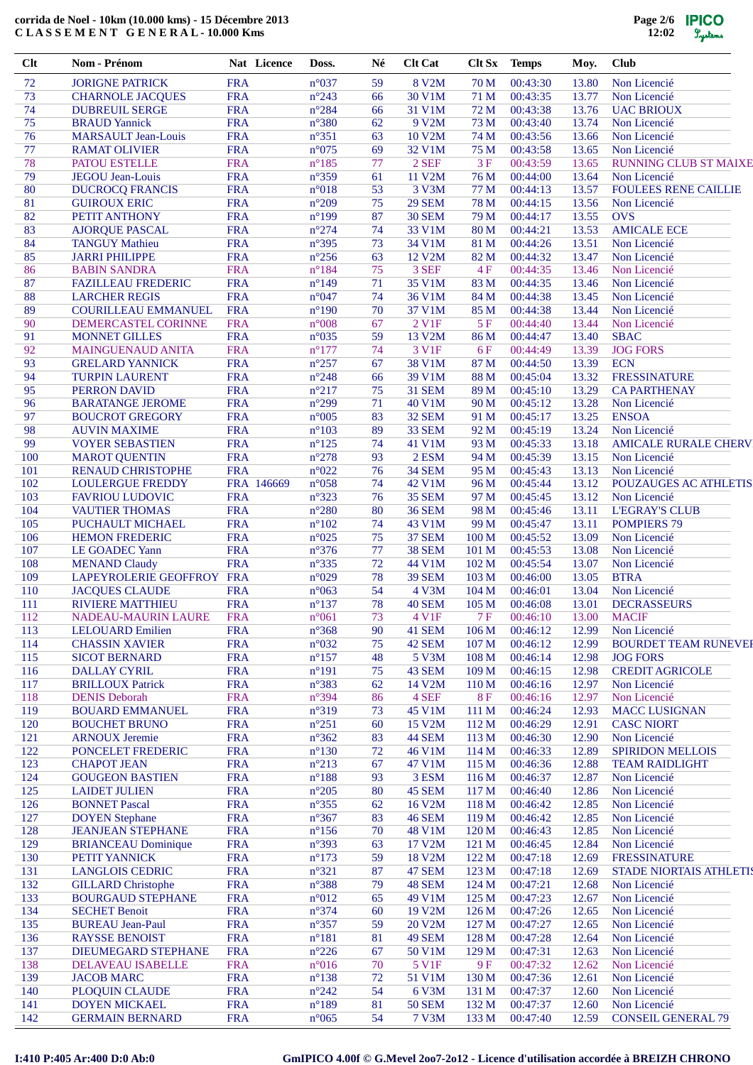| Clt        | Nom - Prénom                                      | Nat Licence              | Doss.                            | Né       | <b>Clt Cat</b>          |                           | Clt Sx Temps         | Moy.           | <b>Club</b>                                  |
|------------|---------------------------------------------------|--------------------------|----------------------------------|----------|-------------------------|---------------------------|----------------------|----------------|----------------------------------------------|
| 72         | <b>JORIGNE PATRICK</b>                            | <b>FRA</b>               | $n^{\circ}037$                   | 59       | 8 V2M                   | 70 M                      | 00:43:30             | 13.80          | Non Licencié                                 |
| 73         | <b>CHARNOLE JACQUES</b>                           | <b>FRA</b>               | $n^{\circ}243$                   | 66       | 30 V1M                  | 71 M                      | 00:43:35             | 13.77          | Non Licencié                                 |
| 74         | <b>DUBREUIL SERGE</b>                             | <b>FRA</b>               | $n^{\circ}284$                   | 66       | 31 V1M                  | 72 M                      | 00:43:38             | 13.76          | <b>UAC BRIOUX</b>                            |
| 75         | <b>BRAUD</b> Yannick                              | <b>FRA</b>               | $n^{\circ}380$                   | 62       | 9 V2M                   | 73 M                      | 00:43:40             | 13.74          | Non Licencié                                 |
| 76         | MARSAULT Jean-Louis                               | <b>FRA</b>               | $n^{\circ}351$                   | 63       | 10 V2M                  | 74 M                      | 00:43:56             | 13.66          | Non Licencié                                 |
| 77<br>78   | <b>RAMAT OLIVIER</b><br><b>PATOU ESTELLE</b>      | <b>FRA</b><br><b>FRA</b> | $n^{\circ}075$<br>$n^{\circ}185$ | 69<br>77 | 32 V1M<br>2 SEF         | 75 M<br>3F                | 00:43:58<br>00:43:59 | 13.65<br>13.65 | Non Licencié<br><b>RUNNING CLUB ST MAIXE</b> |
| 79         | <b>JEGOU</b> Jean-Louis                           | <b>FRA</b>               | $n^{\circ}359$                   | 61       | 11 V2M                  | 76 M                      | 00:44:00             | 13.64          | Non Licencié                                 |
| 80         | <b>DUCROCQ FRANCIS</b>                            | <b>FRA</b>               | $n^{\circ}018$                   | 53       | 3 V3M                   | 77 M                      | 00:44:13             | 13.57          | <b>FOULEES RENE CAILLIE</b>                  |
| 81         | <b>GUIROUX ERIC</b>                               | <b>FRA</b>               | $n^{\circ}209$                   | 75       | <b>29 SEM</b>           | 78 M                      | 00:44:15             | 13.56          | Non Licencié                                 |
| 82         | PETIT ANTHONY                                     | <b>FRA</b>               | $n^{\circ}199$                   | 87       | <b>30 SEM</b>           | 79 M                      | 00:44:17             | 13.55          | <b>OVS</b>                                   |
| 83         | <b>AJORQUE PASCAL</b>                             | <b>FRA</b>               | $n^{\circ}274$                   | 74       | 33 V1M                  | 80 M                      | 00:44:21             | 13.53          | <b>AMICALE ECE</b>                           |
| 84         | <b>TANGUY Mathieu</b>                             | <b>FRA</b>               | $n^{\circ}395$                   | 73       | 34 V1M                  | 81 M                      | 00:44:26             | 13.51          | Non Licencié                                 |
| 85         | <b>JARRI PHILIPPE</b>                             | <b>FRA</b>               | $n^{\circ}256$                   | 63       | 12 V2M                  | 82 M                      | 00:44:32             | 13.47          | Non Licencié                                 |
| 86         | <b>BABIN SANDRA</b>                               | <b>FRA</b>               | $n^{\circ}184$                   | 75       | 3 SEF                   | 4F                        | 00:44:35             | 13.46          | Non Licencié                                 |
| 87         | <b>FAZILLEAU FREDERIC</b>                         | <b>FRA</b>               | $n^{\circ}149$                   | 71       | 35 V1M                  | 83 M                      | 00:44:35             | 13.46          | Non Licencié                                 |
| 88         | <b>LARCHER REGIS</b>                              | <b>FRA</b>               | $n^{\circ}047$                   | 74       | 36 V1M                  | 84 M                      | 00:44:38             | 13.45          | Non Licencié                                 |
| 89         | <b>COURILLEAU EMMANUEL</b>                        | <b>FRA</b>               | $n^{\circ}190$                   | 70       | 37 V1M                  | 85 M                      | 00:44:38             | 13.44          | Non Licencié                                 |
| 90         | DEMERCASTEL CORINNE                               | <b>FRA</b>               | $n^{\circ}008$                   | 67       | 2 V1F                   | 5F                        | 00:44:40             | 13.44          | Non Licencié                                 |
| 91         | <b>MONNET GILLES</b>                              | <b>FRA</b>               | $n^{\circ}035$                   | 59       | 13 V2M                  | 86 M                      | 00:44:47             | 13.40          | <b>SBAC</b>                                  |
| 92<br>93   | MAINGUENAUD ANITA<br><b>GRELARD YANNICK</b>       | <b>FRA</b><br><b>FRA</b> | $n^{\circ}177$<br>$n^{\circ}257$ | 74<br>67 | 3 V1F<br>38 V1M         | 6 F<br>87 M               | 00:44:49<br>00:44:50 | 13.39<br>13.39 | <b>JOG FORS</b><br><b>ECN</b>                |
| 94         | <b>TURPIN LAURENT</b>                             | <b>FRA</b>               | $n^{\circ}248$                   | 66       | 39 V1M                  | 88 M                      | 00:45:04             | 13.32          | <b>FRESSINATURE</b>                          |
| 95         | <b>PERRON DAVID</b>                               | <b>FRA</b>               | $n^{\circ}217$                   | 75       | <b>31 SEM</b>           | 89 M                      | 00:45:10             | 13.29          | <b>CA PARTHENAY</b>                          |
| 96         | <b>BARATANGE JEROME</b>                           | <b>FRA</b>               | $n^{\circ}299$                   | 71       | 40 V1M                  | 90 M                      | 00:45:12             | 13.28          | Non Licencié                                 |
| 97         | <b>BOUCROT GREGORY</b>                            | <b>FRA</b>               | $n^{\circ}005$                   | 83       | 32 SEM                  | 91 M                      | 00:45:17             | 13.25          | <b>ENSOA</b>                                 |
| 98         | <b>AUVIN MAXIME</b>                               | <b>FRA</b>               | $n^{\circ}103$                   | 89       | 33 SEM                  | 92 M                      | 00:45:19             | 13.24          | Non Licencié                                 |
| 99         | <b>VOYER SEBASTIEN</b>                            | <b>FRA</b>               | $n^{\circ}125$                   | 74       | 41 V1M                  | 93 M                      | 00:45:33             | 13.18          | <b>AMICALE RURALE CHERV</b>                  |
| 100        | <b>MAROT QUENTIN</b>                              | <b>FRA</b>               | $n^{\circ}278$                   | 93       | 2 ESM                   | 94 M                      | 00:45:39             | 13.15          | Non Licencié                                 |
| 101        | <b>RENAUD CHRISTOPHE</b>                          | <b>FRA</b>               | $n^{\circ}022$                   | 76       | <b>34 SEM</b>           | 95 M                      | 00:45:43             | 13.13          | Non Licencié                                 |
| 102        | <b>LOULERGUE FREDDY</b>                           | FRA 146669               | $n^{\circ}058$                   | 74       | 42 V1M                  | 96 M                      | 00:45:44             | 13.12          | POUZAUGES AC ATHLETIS                        |
| 103        | <b>FAVRIOU LUDOVIC</b>                            | <b>FRA</b>               | $n^{\circ}323$                   | 76       | <b>35 SEM</b>           | 97 M                      | 00:45:45             | 13.12          | Non Licencié                                 |
| 104        | <b>VAUTIER THOMAS</b>                             | <b>FRA</b>               | $n^{\circ}280$                   | 80       | <b>36 SEM</b>           | 98 M                      | 00:45:46             | 13.11          | <b>L'EGRAY'S CLUB</b>                        |
| 105        | PUCHAULT MICHAEL                                  | <b>FRA</b>               | $n^{\circ}102$                   | 74       | 43 V1M                  | 99 M                      | 00:45:47             | 13.11          | <b>POMPIERS 79</b>                           |
| 106<br>107 | <b>HEMON FREDERIC</b><br><b>LE GOADEC Yann</b>    | <b>FRA</b><br><b>FRA</b> | $n^{\circ}025$<br>$n^{\circ}376$ | 75<br>77 | <b>37 SEM</b><br>38 SEM | 100 <sub>M</sub><br>101 M | 00:45:52<br>00:45:53 | 13.09<br>13.08 | Non Licencié<br>Non Licencié                 |
| 108        |                                                   | <b>FRA</b>               | $n^{\circ}335$                   | 72       | 44 V1M                  | 102 <sub>M</sub>          | 00:45:54             | 13.07          | Non Licencié                                 |
| 109        | <b>MENAND Claudy</b><br>LAPEYROLERIE GEOFFROY FRA |                          | $n^{\circ}029$                   | 78       | <b>39 SEM</b>           | 103 M                     | 00:46:00             | 13.05          | <b>BTRA</b>                                  |
| 110        | <b>JACQUES CLAUDE</b>                             | <b>FRA</b>               | $n^{\circ}063$                   | 54       | 4 V3M                   | 104 M                     | 00:46:01             | 13.04          | Non Licencié                                 |
| 111        | <b>RIVIERE MATTHIEU</b>                           | <b>FRA</b>               | $n^{\circ}137$                   | 78       | 40 SEM                  | 105 M                     | 00:46:08             | 13.01          | <b>DECRASSEURS</b>                           |
| 112        | NADEAU-MAURIN LAURE                               | <b>FRA</b>               | $n^{\circ}061$                   | 73       | 4 V <sub>1F</sub>       | 7 F                       | 00:46:10             | 13.00          | <b>MACIF</b>                                 |
| 113        | <b>LELOUARD Emilien</b>                           | <b>FRA</b>               | $n^{\circ}368$                   | 90       | 41 SEM                  | 106 <sub>M</sub>          | 00:46:12             | 12.99          | Non Licencié                                 |
| 114        | <b>CHASSIN XAVIER</b>                             | <b>FRA</b>               | $n^{\circ}032$                   | 75       | 42 SEM                  | 107 M                     | 00:46:12             | 12.99          | <b>BOURDET TEAM RUNEVER</b>                  |
| 115        | <b>SICOT BERNARD</b>                              | <b>FRA</b>               | $n^{\circ}157$                   | 48       | 5 V3M                   | 108 <sub>M</sub>          | 00:46:14             | 12.98          | <b>JOG FORS</b>                              |
| 116        | <b>DALLAY CYRIL</b>                               | <b>FRA</b>               | $n^{\circ}191$                   | 75       | 43 SEM                  | 109 M                     | 00:46:15             | 12.98          | <b>CREDIT AGRICOLE</b>                       |
| 117        | <b>BRILLOUX Patrick</b>                           | <b>FRA</b>               | $n^{\circ}383$                   | 62       | 14 V2M                  | 110 <sub>M</sub>          | 00:46:16             | 12.97          | Non Licencié                                 |
| 118        | <b>DENIS Deborah</b>                              | <b>FRA</b>               | $n^{\circ}394$                   | 86       | 4 SEF                   | <b>8F</b>                 | 00:46:16             | 12.97          | Non Licencié                                 |
| 119        | <b>BOUARD EMMANUEL</b>                            | <b>FRA</b>               | $n^{\circ}319$                   | 73       | 45 V1M                  | 111 <sub>M</sub>          | 00:46:24             | 12.93          | <b>MACC LUSIGNAN</b>                         |
| 120        | <b>BOUCHET BRUNO</b>                              | <b>FRA</b>               | $n^{\circ}251$                   | 60       | 15 V2M                  | 112 M                     | 00:46:29             | 12.91          | <b>CASC NIORT</b>                            |
| 121<br>122 | <b>ARNOUX Jeremie</b><br>PONCELET FREDERIC        | <b>FRA</b><br><b>FRA</b> | $n^{\circ}362$<br>$n^{\circ}130$ | 83<br>72 | 44 SEM<br>46 V1M        | 113 M<br>114 M            | 00:46:30<br>00:46:33 | 12.90<br>12.89 | Non Licencié<br><b>SPIRIDON MELLOIS</b>      |
| 123        | <b>CHAPOT JEAN</b>                                | <b>FRA</b>               | $n^{\circ}213$                   | 67       | 47 V1M                  | 115 M                     | 00:46:36             | 12.88          | <b>TEAM RAIDLIGHT</b>                        |
| 124        | <b>GOUGEON BASTIEN</b>                            | <b>FRA</b>               | $n^{\circ}188$                   | 93       | 3 ESM                   | 116 M                     | 00:46:37             | 12.87          | Non Licencié                                 |
| 125        | <b>LAIDET JULIEN</b>                              | <b>FRA</b>               | $n^{\circ}205$                   | 80       | 45 SEM                  | 117 M                     | 00:46:40             | 12.86          | Non Licencié                                 |
| 126        | <b>BONNET Pascal</b>                              | <b>FRA</b>               | $n^{\circ}355$                   | 62       | 16 V2M                  | 118 M                     | 00:46:42             | 12.85          | Non Licencié                                 |
| 127        | <b>DOYEN</b> Stephane                             | <b>FRA</b>               | $n^{\circ}367$                   | 83       | <b>46 SEM</b>           | 119 M                     | 00:46:42             | 12.85          | Non Licencié                                 |
| 128        | <b>JEANJEAN STEPHANE</b>                          | <b>FRA</b>               | $n^{\circ}156$                   | 70       | 48 V1M                  | 120 M                     | 00:46:43             | 12.85          | Non Licencié                                 |
| 129        | <b>BRIANCEAU Dominique</b>                        | <b>FRA</b>               | $n^{\circ}393$                   | 63       | 17 V2M                  | 121 <sub>M</sub>          | 00:46:45             | 12.84          | Non Licencié                                 |
| 130        | PETIT YANNICK                                     | <b>FRA</b>               | $n^{\circ}173$                   | 59       | 18 V2M                  | 122 M                     | 00:47:18             | 12.69          | <b>FRESSINATURE</b>                          |
| 131        | <b>LANGLOIS CEDRIC</b>                            | <b>FRA</b>               | $n^{\circ}321$                   | 87       | 47 SEM                  | 123 M                     | 00:47:18             | 12.69          | STADE NIORTAIS ATHLETIS                      |
| 132        | <b>GILLARD</b> Christophe                         | <b>FRA</b>               | $n^{\circ}388$                   | 79       | 48 SEM                  | 124 M                     | 00:47:21             | 12.68          | Non Licencié                                 |
| 133        | <b>BOURGAUD STEPHANE</b>                          | <b>FRA</b>               | $n^{\circ}012$                   | 65       | 49 V1M                  | 125 M                     | 00:47:23             | 12.67          | Non Licencié                                 |
| 134        | <b>SECHET Benoit</b>                              | <b>FRA</b>               | $n^{\circ}374$                   | 60       | 19 V2M                  | 126 M                     | 00:47:26             | 12.65          | Non Licencié                                 |
| 135        | <b>BUREAU Jean-Paul</b>                           | <b>FRA</b>               | $n^{\circ}357$                   | 59       | 20 V2M                  | 127 M                     | 00:47:27             | 12.65          | Non Licencié                                 |
| 136<br>137 | <b>RAYSSE BENOIST</b><br>DIEUMEGARD STEPHANE      | <b>FRA</b><br><b>FRA</b> | $n^{\circ}181$<br>$n^{\circ}226$ | 81<br>67 | 49 SEM<br>50 V1M        | 128 M<br>129 M            | 00:47:28<br>00:47:31 | 12.64<br>12.63 | Non Licencié<br>Non Licencié                 |
| 138        | DELAVEAU ISABELLE                                 | <b>FRA</b>               | $n^{\circ}016$                   | 70       | 5 V1F                   | 9F                        | 00:47:32             | 12.62          | Non Licencié                                 |
| 139        | <b>JACOB MARC</b>                                 | <b>FRA</b>               | $n^{\circ}138$                   | 72       | 51 V1M                  | 130 M                     | 00:47:36             | 12.61          | Non Licencié                                 |
| 140        | PLOQUIN CLAUDE                                    | <b>FRA</b>               | $n^{\circ}242$                   | 54       | 6 V3M                   | 131 M                     | 00:47:37             | 12.60          | Non Licencié                                 |
| 141        | <b>DOYEN MICKAEL</b>                              | <b>FRA</b>               | $n^{\circ}189$                   | 81       | <b>50 SEM</b>           | 132 M                     | 00:47:37             | 12.60          | Non Licencié                                 |
| 142        | <b>GERMAIN BERNARD</b>                            | <b>FRA</b>               | $n^{\circ}065$                   | 54       | 7 V3M                   | 133 M                     | 00:47:40             | 12.59          | <b>CONSEIL GENERAL 79</b>                    |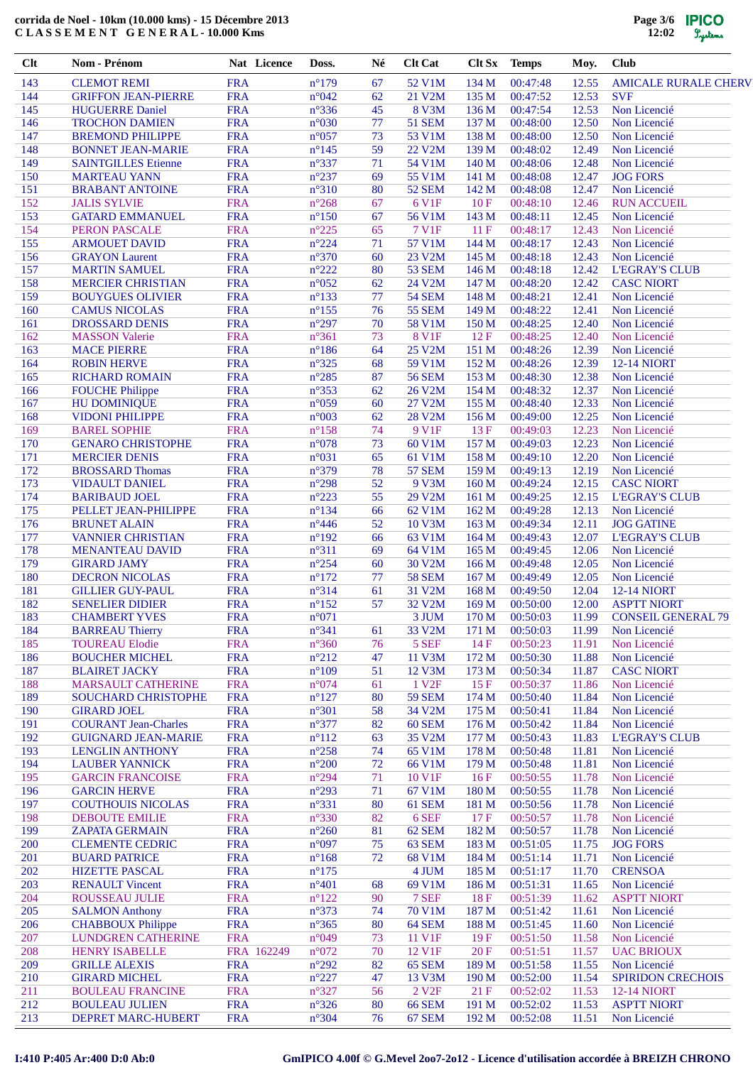| $Cl$ t     | Nom - Prénom                                   | Nat Licence              | Doss.                            | Né       | <b>Clt Cat</b>          | Clt Sx                    | <b>Temps</b>         | Moy.           | <b>Club</b>                                |
|------------|------------------------------------------------|--------------------------|----------------------------------|----------|-------------------------|---------------------------|----------------------|----------------|--------------------------------------------|
| 143        | <b>CLEMOT REMI</b>                             | <b>FRA</b>               | $n^{\circ}179$                   | 67       | 52 V1M                  | 134 M                     | 00:47:48             | 12.55          | <b>AMICALE RURALE CHERV</b>                |
| 144        | <b>GRIFFON JEAN-PIERRE</b>                     | <b>FRA</b>               | n°042                            | 62       | 21 V2M                  | 135 M                     | 00:47:52             | 12.53          | <b>SVF</b>                                 |
| 145        | <b>HUGUERRE Daniel</b>                         | <b>FRA</b>               | $n^{\circ}336$                   | 45       | <b>8 V3M</b>            | 136 M                     | 00:47:54             | 12.53          | Non Licencié                               |
| 146        | <b>TROCHON DAMIEN</b>                          | <b>FRA</b>               | n°030                            | 77       | <b>51 SEM</b>           | 137 M                     | 00:48:00             | 12.50          | Non Licencié                               |
| 147        | <b>BREMOND PHILIPPE</b>                        | <b>FRA</b>               | $n^{\circ}057$                   | 73       | 53 V1M                  | 138 M                     | 00:48:00             | 12.50          | Non Licencié                               |
| 148        | <b>BONNET JEAN-MARIE</b>                       | <b>FRA</b>               | $n^{\circ}$ 145                  | 59       | 22 V2M                  | 139 M                     | 00:48:02             | 12.49          | Non Licencié                               |
| 149        | <b>SAINTGILLES Etienne</b>                     | <b>FRA</b>               | $n^{\circ}337$                   | 71       | 54 V1M                  | 140 M                     | 00:48:06             | 12.48          | Non Licencié                               |
| 150<br>151 | <b>MARTEAU YANN</b><br><b>BRABANT ANTOINE</b>  | <b>FRA</b><br><b>FRA</b> | $n^{\circ}237$<br>$n^{\circ}310$ | 69<br>80 | 55 V1M<br><b>52 SEM</b> | 141 M<br>142 M            | 00:48:08             | 12.47<br>12.47 | <b>JOG FORS</b><br>Non Licencié            |
| 152        | <b>JALIS SYLVIE</b>                            | <b>FRA</b>               | $n^{\circ}268$                   | 67       | 6 V1F                   | 10F                       | 00:48:08<br>00:48:10 | 12.46          | <b>RUN ACCUEIL</b>                         |
| 153        | <b>GATARD EMMANUEL</b>                         | <b>FRA</b>               | $n^{\circ}150$                   | 67       | 56 V1M                  | 143 M                     | 00:48:11             | 12.45          | Non Licencié                               |
| 154        | PERON PASCALE                                  | <b>FRA</b>               | $n^{\circ}225$                   | 65       | 7 V1F                   | 11F                       | 00:48:17             | 12.43          | Non Licencié                               |
| 155        | <b>ARMOUET DAVID</b>                           | <b>FRA</b>               | $n^{\circ}224$                   | 71       | 57 V1M                  | 144 M                     | 00:48:17             | 12.43          | Non Licencié                               |
| 156        | <b>GRAYON</b> Laurent                          | <b>FRA</b>               | $n^{\circ}370$                   | 60       | 23 V2M                  | 145 M                     | 00:48:18             | 12.43          | Non Licencié                               |
| 157        | <b>MARTIN SAMUEL</b>                           | <b>FRA</b>               | $n^{\circ}222$                   | 80       | <b>53 SEM</b>           | 146 M                     | 00:48:18             | 12.42          | <b>L'EGRAY'S CLUB</b>                      |
| 158        | <b>MERCIER CHRISTIAN</b>                       | <b>FRA</b>               | $n^{\circ}052$                   | 62       | 24 V2M                  | 147 M                     | 00:48:20             | 12.42          | <b>CASC NIORT</b>                          |
| 159        | <b>BOUYGUES OLIVIER</b>                        | <b>FRA</b>               | $n^{\circ}133$                   | 77       | <b>54 SEM</b>           | 148 M                     | 00:48:21             | 12.41          | Non Licencié                               |
| 160        | <b>CAMUS NICOLAS</b>                           | <b>FRA</b>               | $n^{\circ}155$                   | 76       | <b>55 SEM</b>           | 149 M                     | 00:48:22             | 12.41          | Non Licencié                               |
| 161        | DROSSARD DENIS                                 | <b>FRA</b>               | $n^{\circ}297$                   | 70       | 58 V1M                  | 150 M                     | 00:48:25             | 12.40          | Non Licencié                               |
| 162        | <b>MASSON Valerie</b>                          | <b>FRA</b>               | $n^{\circ}361$                   | 73       | <b>8 V1F</b>            | 12F                       | 00:48:25             | 12.40          | Non Licencié                               |
| 163        | <b>MACE PIERRE</b>                             | <b>FRA</b>               | $n^{\circ}186$                   | 64       | 25 V2M                  | 151 M                     | 00:48:26             | 12.39          | Non Licencié                               |
| 164        | <b>ROBIN HERVE</b>                             | <b>FRA</b>               | $n^{\circ}325$                   | 68       | 59 V1M                  | 152 M                     | 00:48:26             | 12.39          | <b>12-14 NIORT</b>                         |
| 165        | <b>RICHARD ROMAIN</b>                          | <b>FRA</b>               | $n^{\circ}285$                   | 87       | <b>56 SEM</b>           | 153 M                     | 00:48:30             | 12.38          | Non Licencié                               |
| 166        | <b>FOUCHE Philippe</b>                         | <b>FRA</b>               | $n^{\circ}353$                   | 62       | 26 V2M                  | 154 M                     | 00:48:32             | 12.37          | Non Licencié                               |
| 167        | <b>HU DOMINIQUE</b>                            | <b>FRA</b>               | n°059                            | 60       | 27 V2M                  | 155 M                     | 00:48:40             | 12.33          | Non Licencié                               |
| 168        | <b>VIDONI PHILIPPE</b>                         | <b>FRA</b>               | n°003                            | 62       | 28 V2M                  | 156M                      | 00:49:00             | 12.25          | Non Licencié                               |
| 169        | <b>BAREL SOPHIE</b>                            | <b>FRA</b>               | $n^{\circ}158$                   | 74       | 9 V1F                   | 13F                       | 00:49:03             | 12.23          | Non Licencié                               |
| 170        | <b>GENARO CHRISTOPHE</b>                       | <b>FRA</b>               | $n^{\circ}078$                   | 73       | 60 V1M                  | 157 M                     | 00:49:03             | 12.23          | Non Licencié                               |
| 171        | <b>MERCIER DENIS</b>                           | <b>FRA</b>               | $n^{\circ}031$                   | 65       | 61 V1M                  | 158 M                     | 00:49:10             | 12.20          | Non Licencié                               |
| 172<br>173 | <b>BROSSARD Thomas</b>                         | <b>FRA</b><br><b>FRA</b> | n°379<br>$n^{\circ}298$          | 78<br>52 | <b>57 SEM</b><br>9 V3M  | 159 <sub>M</sub>          | 00:49:13             | 12.19<br>12.15 | Non Licencié                               |
| 174        | <b>VIDAULT DANIEL</b><br><b>BARIBAUD JOEL</b>  | <b>FRA</b>               | $n^{\circ}223$                   | 55       | 29 V2M                  | 160 <sub>M</sub><br>161 M | 00:49:24<br>00:49:25 | 12.15          | <b>CASC NIORT</b><br><b>L'EGRAY'S CLUB</b> |
| 175        | PELLET JEAN-PHILIPPE                           | <b>FRA</b>               | $n^{\circ}134$                   | 66       | 62 V1M                  | 162 M                     | 00:49:28             | 12.13          | Non Licencié                               |
| 176        | <b>BRUNET ALAIN</b>                            | <b>FRA</b>               | $n^{\circ}446$                   | 52       | 10 V3M                  | 163 M                     | 00:49:34             | 12.11          | <b>JOG GATINE</b>                          |
| 177        | <b>VANNIER CHRISTIAN</b>                       | <b>FRA</b>               | $n^{\circ}192$                   | 66       | 63 V1M                  | 164 M                     | 00:49:43             | 12.07          | <b>L'EGRAY'S CLUB</b>                      |
| 178        | <b>MENANTEAU DAVID</b>                         | <b>FRA</b>               | $n^{\circ}311$                   | 69       | 64 V1M                  | 165 <sub>M</sub>          | 00:49:45             | 12.06          | Non Licencié                               |
| 179        | <b>GIRARD JAMY</b>                             | <b>FRA</b>               | $n^{\circ}254$                   | 60       | 30 V2M                  | 166 M                     | 00:49:48             | 12.05          | Non Licencié                               |
| 180        | <b>DECRON NICOLAS</b>                          | <b>FRA</b>               | $n^{\circ}172$                   | 77       | <b>58 SEM</b>           | 167 <sub>M</sub>          | 00:49:49             | 12.05          | Non Licencié                               |
| 181        | <b>GILLIER GUY-PAUL</b>                        | <b>FRA</b>               | n°314                            | 61       | 31 V2M                  | 168 M                     | 00:49:50             | 12.04          | <b>12-14 NIORT</b>                         |
| 182        | <b>SENELIER DIDIER</b>                         | <b>FRA</b>               | $n^{\circ}152$                   | 57       | 32 V2M                  | 169 <sub>M</sub>          | 00:50:00             | 12.00          | <b>ASPTT NIORT</b>                         |
| 183        | <b>CHAMBERT YVES</b>                           | <b>FRA</b>               | $n^{\circ}071$                   |          | 3 JUM                   | 170 M                     | 00:50:03             | 11.99          | <b>CONSEIL GENERAL 79</b>                  |
| 184        | <b>BARREAU Thierry</b>                         | <b>FRA</b>               | $n^{\circ}341$                   | 61       | 33 V2M                  | 171 M                     | 00:50:03             | 11.99          | Non Licencié                               |
| 185        | <b>TOUREAU Elodie</b>                          | <b>FRA</b>               | $n^{\circ}360$                   | 76       | 5 SEF                   | 14F                       | 00:50:23             | 11.91          | Non Licencié                               |
| 186        | <b>BOUCHER MICHEL</b>                          | <b>FRA</b>               | $n^{\circ}212$                   | 47       | 11 V3M                  | 172 M                     | 00:50:30             | 11.88          | Non Licencié                               |
| 187        | <b>BLAIRET JACKY</b>                           | <b>FRA</b>               | $n^{\circ}109$                   | 51       | 12 V3M                  | 173 M                     | 00:50:34             | 11.87          | <b>CASC NIORT</b>                          |
| 188        | MARSAULT CATHERINE                             | <b>FRA</b>               | n°074                            | 61       | 1 V <sub>2F</sub>       | 15 F                      | 00:50:37             | 11.86          | Non Licencié                               |
| 189        | SOUCHARD CHRISTOPHE                            | <b>FRA</b>               | $n^{\circ}127$                   | 80       | <b>59 SEM</b>           | 174 M                     | 00:50:40             | 11.84          | Non Licencié                               |
| 190        | <b>GIRARD JOEL</b>                             | <b>FRA</b>               | $n^{\circ}301$                   | 58       | 34 V2M                  | 175 M                     | 00:50:41             | 11.84          | Non Licencié                               |
| 191        | <b>COURANT Jean-Charles</b>                    | <b>FRA</b>               | $n^{\circ}377$                   | 82       | 60 SEM                  | 176 M                     | 00:50:42             | 11.84          | Non Licencié                               |
| 192        | <b>GUIGNARD JEAN-MARIE</b>                     | <b>FRA</b>               | $n^{\circ}112$                   | 63       | 35 V2M                  | 177 M                     | 00:50:43             | 11.83          | <b>L'EGRAY'S CLUB</b>                      |
| 193        | <b>LENGLIN ANTHONY</b>                         | <b>FRA</b>               | $n^{\circ}258$                   | 74       | 65 V1M                  | 178 M                     | 00:50:48             | 11.81          | Non Licencié                               |
| 194        | <b>LAUBER YANNICK</b>                          | <b>FRA</b>               | $n^{\circ}200$                   | 72       | 66 V1M                  | 179 M                     | 00:50:48             | 11.81          | Non Licencié                               |
| 195<br>196 | <b>GARCIN FRANCOISE</b><br><b>GARCIN HERVE</b> | <b>FRA</b><br><b>FRA</b> | $n^{\circ}294$<br>$n^{\circ}293$ | 71<br>71 | 10 V1F<br>67 V1M        | 16F<br>180 M              | 00:50:55<br>00:50:55 | 11.78<br>11.78 | Non Licencié<br>Non Licencié               |
| 197        | <b>COUTHOUIS NICOLAS</b>                       | <b>FRA</b>               | $n^{\circ}331$                   | 80       | 61 SEM                  | 181 M                     | 00:50:56             | 11.78          | Non Licencié                               |
| 198        | <b>DEBOUTE EMILIE</b>                          | <b>FRA</b>               | $n^{\circ}330$                   | 82       | 6 SEF                   | 17F                       | 00:50:57             | 11.78          | Non Licencié                               |
| 199        | <b>ZAPATA GERMAIN</b>                          | <b>FRA</b>               | $n^{\circ}260$                   | 81       | 62 SEM                  | 182 M                     | 00:50:57             | 11.78          | Non Licencié                               |
| 200        | <b>CLEMENTE CEDRIC</b>                         | <b>FRA</b>               | n°097                            | 75       | 63 SEM                  | 183 M                     | 00:51:05             | 11.75          | <b>JOG FORS</b>                            |
| 201        | <b>BUARD PATRICE</b>                           | <b>FRA</b>               | $n^{\circ}168$                   | 72       | 68 V1M                  | 184 M                     | 00:51:14             | 11.71          | Non Licencié                               |
| 202        | <b>HIZETTE PASCAL</b>                          | <b>FRA</b>               | $n^{\circ}175$                   |          | 4 JUM                   | 185 M                     | 00:51:17             | 11.70          | <b>CRENSOA</b>                             |
| 203        | <b>RENAULT Vincent</b>                         | <b>FRA</b>               | $n^{\circ}401$                   | 68       | 69 V1M                  | 186 M                     | 00:51:31             | 11.65          | Non Licencié                               |
| 204        | ROUSSEAU JULIE                                 | <b>FRA</b>               | $n^{\circ}122$                   | 90       | 7 SEF                   | 18F                       | 00:51:39             | 11.62          | <b>ASPTT NIORT</b>                         |
| 205        | <b>SALMON Anthony</b>                          | <b>FRA</b>               | $n^{\circ}373$                   | 74       | 70 V1M                  | 187 M                     | 00:51:42             | 11.61          | Non Licencié                               |
| 206        | <b>CHABBOUX Philippe</b>                       | <b>FRA</b>               | $n^{\circ}365$                   | 80       | 64 SEM                  | 188 M                     | 00:51:45             | 11.60          | Non Licencié                               |
| 207        | LUNDGREN CATHERINE                             | <b>FRA</b>               | n°049                            | 73       | 11 V1F                  | 19F                       | 00:51:50             | 11.58          | Non Licencié                               |
| 208        | HENRY ISABELLE                                 | FRA 162249               | $n^{\circ}072$                   | 70       | 12 V1F                  | 20 F                      | 00:51:51             | 11.57          | <b>UAC BRIOUX</b>                          |
| 209        | <b>GRILLE ALEXIS</b>                           | <b>FRA</b>               | $n^{\circ}292$                   | 82       | 65 SEM                  | 189 M                     | 00:51:58             | 11.55          | Non Licencié                               |
| 210        | <b>GIRARD MICHEL</b>                           | <b>FRA</b>               | $n^{\circ}227$                   | 47       | 13 V3M                  | 190 <sub>M</sub>          | 00:52:00             | 11.54          | <b>SPIRIDON CRECHOIS</b>                   |
| 211        | <b>BOULEAU FRANCINE</b>                        | <b>FRA</b>               | $n^{\circ}327$                   | 56       | 2 V <sub>2F</sub>       | 21F                       | 00:52:02             | 11.53          | <b>12-14 NIORT</b>                         |
| 212        | <b>BOULEAU JULIEN</b>                          | <b>FRA</b>               | $n^{\circ}326$                   | 80       | <b>66 SEM</b>           | 191 M                     | 00:52:02             | 11.53          | <b>ASPTT NIORT</b>                         |
| 213        | DEPRET MARC-HUBERT                             | <b>FRA</b>               | $n^{\circ}304$                   | 76       | 67 SEM                  | 192 M                     | 00:52:08             | 11.51          | Non Licencié                               |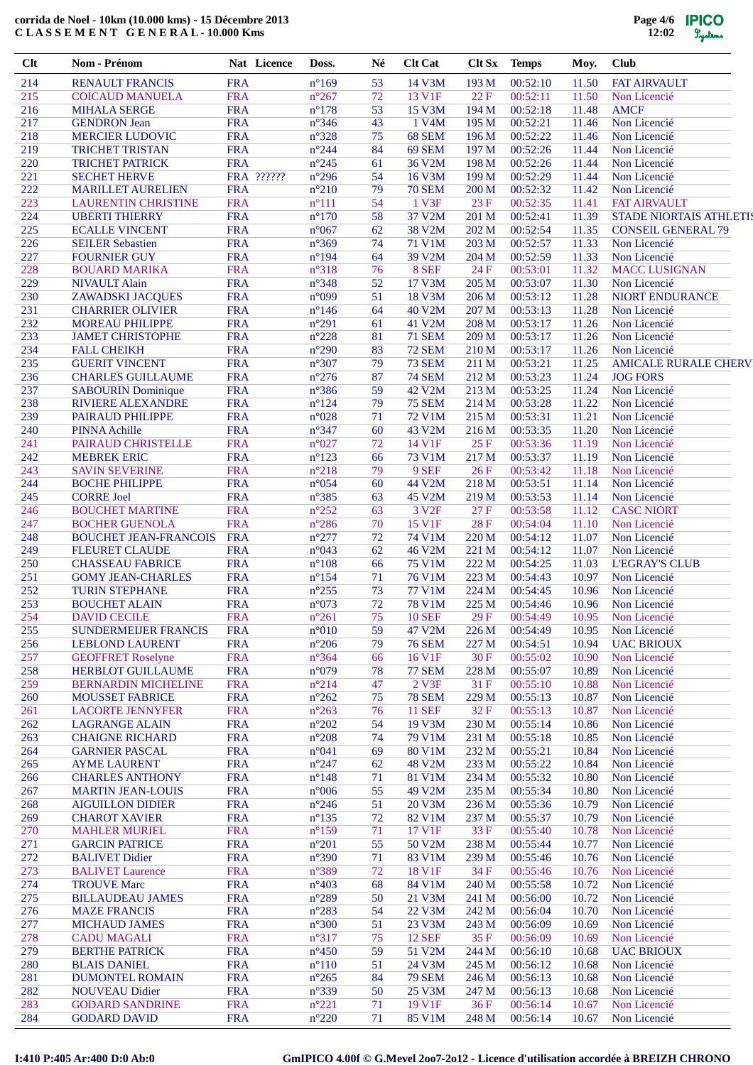| $Cl$ t     | Nom - Prénom                                          |                          | Nat Licence | Doss.                            | Né       | <b>Clt Cat</b>                 | Clt Sx         | <b>Temps</b>         | Moy.           | <b>Club</b>                                           |
|------------|-------------------------------------------------------|--------------------------|-------------|----------------------------------|----------|--------------------------------|----------------|----------------------|----------------|-------------------------------------------------------|
| 214        | <b>RENAULT FRANCIS</b>                                | <b>FRA</b>               |             | $n^{\circ}169$                   | 53       | 14 V3M                         | 193 M          | 00:52:10             | 11.50          | <b>FAT AIRVAULT</b>                                   |
| 215        | <b>COICAUD MANUELA</b>                                | <b>FRA</b>               |             | $n^{\circ}267$                   | 72       | 13 V1F                         | 22F            | 00:52:11             | 11.50          | Non Licencié                                          |
| 216<br>217 | <b>MIHALA SERGE</b>                                   | <b>FRA</b><br><b>FRA</b> |             | $n^{\circ}178$<br>$n^{\circ}346$ | 53<br>43 | 15 V3M<br>1 V4M                | 194 M<br>195 M | 00:52:18<br>00:52:21 | 11.48<br>11.46 | <b>AMCF</b><br>Non Licencié                           |
| 218        | <b>GENDRON</b> Jean<br><b>MERCIER LUDOVIC</b>         | <b>FRA</b>               |             | $n^{\circ}328$                   | 75       | 68 SEM                         | 196 M          | 00:52:22             | 11.46          | Non Licencié                                          |
| 219        | <b>TRICHET TRISTAN</b>                                | <b>FRA</b>               |             | $n^{\circ}244$                   | 84       | 69 SEM                         | 197 M          | 00:52:26             | 11.44          | Non Licencié                                          |
| 220        | <b>TRICHET PATRICK</b>                                | <b>FRA</b>               |             | $n^{\circ}245$                   | 61       | 36 V2M                         | 198 M          | 00:52:26             | 11.44          | Non Licencié                                          |
| 221        | <b>SECHET HERVE</b>                                   |                          | FRA ??????  | $n^{\circ}296$                   | 54       | 16 V3M                         | 199 M          | 00:52:29             | 11.44          | Non Licencié                                          |
| 222        | <b>MARILLET AURELIEN</b>                              | <b>FRA</b>               |             | $n^{\circ}210$                   | 79       | <b>70 SEM</b>                  | 200 M          | 00:52:32             | 11.42          | Non Licencié                                          |
| 223<br>224 | <b>LAURENTIN CHRISTINE</b><br><b>UBERTI THIERRY</b>   | <b>FRA</b><br><b>FRA</b> |             | $n^{\circ}111$<br>$n^{\circ}170$ | 54<br>58 | 1 V3F<br>37 V2M                | 23 F<br>201 M  | 00:52:35<br>00:52:41 | 11.41<br>11.39 | <b>FAT AIRVAULT</b><br><b>STADE NIORTAIS ATHLETIS</b> |
| 225        | <b>ECALLE VINCENT</b>                                 | <b>FRA</b>               |             | $n^{\circ}067$                   | 62       | 38 V2M                         | 202 M          | 00:52:54             | 11.35          | <b>CONSEIL GENERAL 79</b>                             |
| 226        | <b>SEILER Sebastien</b>                               | <b>FRA</b>               |             | $n^{\circ}369$                   | 74       | 71 V1M                         | 203 M          | 00:52:57             | 11.33          | Non Licencié                                          |
| 227        | <b>FOURNIER GUY</b>                                   | <b>FRA</b>               |             | $n^{\circ}194$                   | 64       | 39 V2M                         | 204 M          | 00:52:59             | 11.33          | Non Licencié                                          |
| 228        | <b>BOUARD MARIKA</b>                                  | <b>FRA</b>               |             | $n^{\circ}318$                   | 76       | 8 SEF                          | 24 F           | 00:53:01             | 11.32          | <b>MACC LUSIGNAN</b>                                  |
| 229        | <b>NIVAULT Alain</b>                                  | <b>FRA</b>               |             | $n^{\circ}348$                   | 52<br>51 | 17 V3M                         | 205 M          | 00:53:07             | 11.30          | Non Licencié                                          |
| 230<br>231 | <b>ZAWADSKI JACQUES</b><br><b>CHARRIER OLIVIER</b>    | <b>FRA</b><br><b>FRA</b> |             | n°099<br>$n^{\circ}$ 146         | 64       | 18 V3M<br>40 V2M               | 206 M<br>207 M | 00:53:12<br>00:53:13 | 11.28<br>11.28 | NIORT ENDURANCE<br>Non Licencié                       |
| 232        | <b>MOREAU PHILIPPE</b>                                | <b>FRA</b>               |             | $n^{\circ}291$                   | 61       | 41 V2M                         | 208 M          | 00:53:17             | 11.26          | Non Licencié                                          |
| 233        | <b>JAMET CHRISTOPHE</b>                               | <b>FRA</b>               |             | $n^{\circ}228$                   | 81       | <b>71 SEM</b>                  | 209 M          | 00:53:17             | 11.26          | Non Licencié                                          |
| 234        | <b>FALL CHEIKH</b>                                    | <b>FRA</b>               |             | $n^{\circ}290$                   | 83       | <b>72 SEM</b>                  | 210 M          | 00:53:17             | 11.26          | Non Licencié                                          |
| 235        | <b>GUERIT VINCENT</b>                                 | <b>FRA</b>               |             | $n^{\circ}307$                   | 79       | <b>73 SEM</b>                  | 211 M          | 00:53:21             | 11.25          | <b>AMICALE RURALE CHERV</b>                           |
| 236        | <b>CHARLES GUILLAUME</b>                              | <b>FRA</b>               |             | $n^{\circ}276$                   | 87       | <b>74 SEM</b>                  | 212 M          | 00:53:23             | 11.24          | <b>JOG FORS</b>                                       |
| 237<br>238 | <b>SABOURIN Dominique</b><br><b>RIVIERE ALEXANDRE</b> | <b>FRA</b><br><b>FRA</b> |             | $n^{\circ}386$<br>$n^{\circ}124$ | 59<br>79 | 42 V2M<br><b>75 SEM</b>        | 213 M<br>214 M | 00:53:25<br>00:53:28 | 11.24<br>11.22 | Non Licencié<br>Non Licencié                          |
| 239        | PAIRAUD PHILIPPE                                      | <b>FRA</b>               |             | $n^{\circ}028$                   | 71       | 72 V1M                         | 215 M          | 00:53:31             | 11.21          | Non Licencié                                          |
| 240        | <b>PINNA Achille</b>                                  | <b>FRA</b>               |             | $n^{\circ}347$                   | 60       | 43 V2M                         | 216 M          | 00:53:35             | 11.20          | Non Licencié                                          |
| 241        | PAIRAUD CHRISTELLE                                    | <b>FRA</b>               |             | $n^{\circ}027$                   | 72       | 14 V1F                         | 25 F           | 00:53:36             | 11.19          | Non Licencié                                          |
| 242        | <b>MEBREK ERIC</b>                                    | <b>FRA</b>               |             | $n^{\circ}123$                   | 66       | 73 V1M                         | 217 M          | 00:53:37             | 11.19          | Non Licencié                                          |
| 243<br>244 | <b>SAVIN SEVERINE</b>                                 | <b>FRA</b><br><b>FRA</b> |             | $n^{\circ}218$<br>$n^{\circ}054$ | 79<br>60 | 9 SEF<br>44 V2M                | 26F<br>218 M   | 00:53:42<br>00:53:51 | 11.18          | Non Licencié                                          |
| 245        | <b>BOCHE PHILIPPE</b><br><b>CORRE Joel</b>            | <b>FRA</b>               |             | $n^{\circ}385$                   | 63       | 45 V2M                         | 219 M          | 00:53:53             | 11.14<br>11.14 | Non Licencié<br>Non Licencié                          |
| 246        | <b>BOUCHET MARTINE</b>                                | <b>FRA</b>               |             | $n^{\circ}252$                   | 63       | 3 V <sub>2F</sub>              | 27 F           | 00:53:58             | 11.12          | <b>CASC NIORT</b>                                     |
| 247        | <b>BOCHER GUENOLA</b>                                 | <b>FRA</b>               |             | $n^{\circ}286$                   | 70       | 15 V1F                         | 28 F           | 00:54:04             | 11.10          | Non Licencié                                          |
| 248        | <b>BOUCHET JEAN-FRANCOIS</b>                          | <b>FRA</b>               |             | $n^{\circ}277$                   | 72       | 74 V1M                         | 220 M          | 00:54:12             | 11.07          | Non Licencié                                          |
| 249        | <b>FLEURET CLAUDE</b>                                 | <b>FRA</b>               |             | n°043                            | 62       | 46 V2M                         | 221 M          | 00:54:12             | 11.07          | Non Licencié                                          |
| 250<br>251 | <b>CHASSEAU FABRICE</b><br><b>GOMY JEAN-CHARLES</b>   | <b>FRA</b><br><b>FRA</b> |             | $n^{\circ}108$<br>$n^{\circ}154$ | 66<br>71 | <b>75 V1M</b><br><b>76 V1M</b> | 222 M<br>223 M | 00:54:25<br>00:54:43 | 11.03<br>10.97 | <b>L'EGRAY'S CLUB</b><br>Non Licencié                 |
| 252        | <b>TURIN STEPHANE</b>                                 | <b>FRA</b>               |             | $n^{\circ}255$                   | 73       | 77 V1M                         | 224 M          | 00:54:45             | 10.96          | Non Licencié                                          |
| 253        | <b>BOUCHET ALAIN</b>                                  | <b>FRA</b>               |             | n°073                            | 72       | 78 V1M                         | 225 M          | 00:54:46             | 10.96          | Non Licencié                                          |
| 254        | <b>DAVID CECILE</b>                                   | <b>FRA</b>               |             | $n^{\circ}261$                   | 75       | <b>10 SEF</b>                  | 29F            | 00:54:49             | 10.95          | Non Licencié                                          |
| 255        | SUNDERMEIJER FRANCIS                                  | <b>FRA</b>               |             | $n^{\circ}010$                   | 59       | 47 V2M                         | 226 M          | 00:54:49             | 10.95          | Non Licencié                                          |
| 256        | <b>LEBLOND LAURENT</b>                                | <b>FRA</b>               |             | $n^{\circ}206$                   | 79       | <b>76 SEM</b>                  | 227 M          | 00:54:51             | 10.94          | <b>UAC BRIOUX</b>                                     |
| 257<br>258 | <b>GEOFFRET Roselyne</b><br>HERBLOT GUILLAUME         | <b>FRA</b><br><b>FRA</b> |             | $n^{\circ}364$<br>n°079          | 66<br>78 | 16 V1F<br><b>77 SEM</b>        | 30F<br>228 M   | 00:55:02<br>00:55:07 | 10.90<br>10.89 | Non Licencié<br>Non Licencié                          |
| 259        | <b>BERNARDIN MICHELINE</b>                            | <b>FRA</b>               |             | $n^{\circ}214$                   | 47       | 2 V3F                          | 31 F           | 00:55:10             | 10.88          | Non Licencié                                          |
| 260        | <b>MOUSSET FABRICE</b>                                | <b>FRA</b>               |             | $n^{\circ}262$                   | 75       | <b>78 SEM</b>                  | 229 M          | 00:55:13             | 10.87          | Non Licencié                                          |
| 261        | <b>LACORTE JENNYFER</b>                               | <b>FRA</b>               |             | $n^{\circ}263$                   | 76       | <b>11 SEF</b>                  | 32 F           | 00:55:13             | 10.87          | Non Licencié                                          |
| 262        | <b>LAGRANGE ALAIN</b>                                 | <b>FRA</b>               |             | $n^{\circ}202$                   | 54       | 19 V3M                         | 230 M          | 00:55:14             | 10.86          | Non Licencié                                          |
| 263<br>264 | <b>CHAIGNE RICHARD</b><br><b>GARNIER PASCAL</b>       | <b>FRA</b><br><b>FRA</b> |             | $n^{\circ}208$<br>n°041          | 74<br>69 | 79 V1M<br>80 V1M               | 231 M<br>232 M | 00:55:18<br>00:55:21 | 10.85<br>10.84 | Non Licencié<br>Non Licencié                          |
| 265        | <b>AYME LAURENT</b>                                   | <b>FRA</b>               |             | $n^{\circ}247$                   | 62       | 48 V2M                         | 233 M          | 00:55:22             | 10.84          | Non Licencié                                          |
| 266        | <b>CHARLES ANTHONY</b>                                | <b>FRA</b>               |             | $n^{\circ}148$                   | 71       | 81 V1M                         | 234 M          | 00:55:32             | 10.80          | Non Licencié                                          |
| 267        | <b>MARTIN JEAN-LOUIS</b>                              | <b>FRA</b>               |             | $n^{\circ}006$                   | 55       | 49 V2M                         | 235 M          | 00:55:34             | 10.80          | Non Licencié                                          |
| 268        | <b>AIGUILLON DIDIER</b>                               | <b>FRA</b>               |             | $n^{\circ}246$                   | 51       | 20 V3M                         | 236 M          | 00:55:36             | 10.79          | Non Licencié                                          |
| 269        | <b>CHAROT XAVIER</b>                                  | <b>FRA</b>               |             | $n^{\circ}135$                   | 72       | 82 V1M<br>17 V1F               | 237 M          | 00:55:37             | 10.79          | Non Licencié                                          |
| 270<br>271 | <b>MAHLER MURIEL</b><br><b>GARCIN PATRICE</b>         | <b>FRA</b><br><b>FRA</b> |             | $n^{\circ}159$<br>$n^{\circ}201$ | 71<br>55 | 50 V2M                         | 33 F<br>238 M  | 00:55:40<br>00:55:44 | 10.78<br>10.77 | Non Licencié<br>Non Licencié                          |
| 272        | <b>BALIVET Didier</b>                                 | <b>FRA</b>               |             | $n^{\circ}390$                   | 71       | 83 V1M                         | 239 M          | 00:55:46             | 10.76          | Non Licencié                                          |
| 273        | <b>BALIVET Laurence</b>                               | <b>FRA</b>               |             | $n^{\circ}389$                   | 72       | 18 V1F                         | 34 F           | 00:55:46             | 10.76          | Non Licencié                                          |
| 274        | <b>TROUVE Marc</b>                                    | <b>FRA</b>               |             | $n^{\circ}403$                   | 68       | 84 V1M                         | 240 M          | 00:55:58             | 10.72          | Non Licencié                                          |
| 275        | <b>BILLAUDEAU JAMES</b>                               | <b>FRA</b>               |             | $n^{\circ}289$                   | 50       | 21 V3M                         | 241 M          | 00:56:00             | 10.72          | Non Licencié                                          |
| 276<br>277 | <b>MAZE FRANCIS</b><br><b>MICHAUD JAMES</b>           | <b>FRA</b><br><b>FRA</b> |             | $n^{\circ}283$<br>$n^{\circ}300$ | 54<br>51 | 22 V3M<br>23 V3M               | 242 M<br>243 M | 00:56:04<br>00:56:09 | 10.70<br>10.69 | Non Licencié<br>Non Licencié                          |
| 278        | <b>CADU MAGALI</b>                                    | <b>FRA</b>               |             | $n^{\circ}317$                   | 75       | <b>12 SEF</b>                  | 35 F           | 00:56:09             | 10.69          | Non Licencié                                          |
| 279        | <b>BERTHE PATRICK</b>                                 | <b>FRA</b>               |             | $n^{\circ}450$                   | 59       | 51 V2M                         | 244 M          | 00:56:10             | 10.68          | <b>UAC BRIOUX</b>                                     |
| 280        | <b>BLAIS DANIEL</b>                                   | <b>FRA</b>               |             | $n^{\circ}110$                   | 51       | 24 V3M                         | 245 M          | 00:56:12             | 10.68          | Non Licencié                                          |
| 281        | <b>DUMONTEL ROMAIN</b>                                | <b>FRA</b>               |             | $n^{\circ}265$                   | 84       | <b>79 SEM</b>                  | 246 M          | 00:56:13             | 10.68          | Non Licencié                                          |
| 282        | <b>NOUVEAU Didier</b>                                 | <b>FRA</b>               |             | $n^{\circ}339$                   | 50       | 25 V3M                         | 247 M          | 00:56:13             | 10.68          | Non Licencié                                          |
| 283<br>284 | <b>GODARD SANDRINE</b><br><b>GODARD DAVID</b>         | <b>FRA</b><br><b>FRA</b> |             | $n^{\circ}221$<br>$n^{\circ}220$ | 71<br>71 | 19 V1F<br>85 V1M               | 36 F<br>248 M  | 00:56:14<br>00:56:14 | 10.67<br>10.67 | Non Licencié<br>Non Licencié                          |
|            |                                                       |                          |             |                                  |          |                                |                |                      |                |                                                       |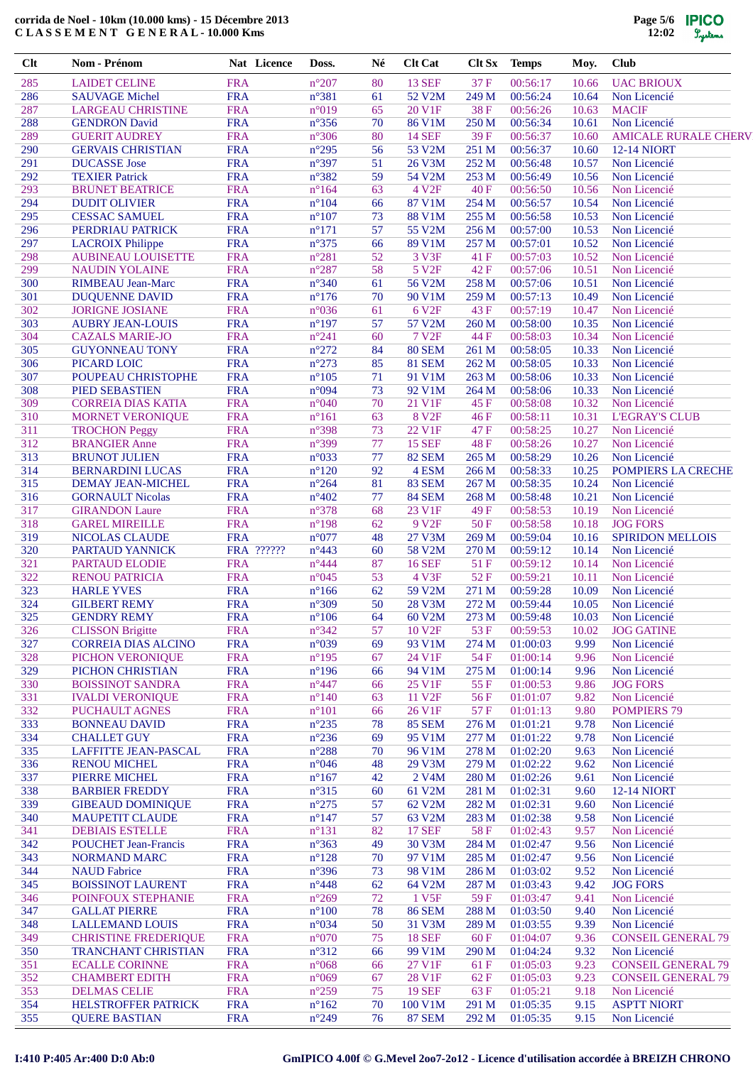| $Cl$ t     | Nom - Prénom                                          | Nat Licence              | Doss.                            | Né       | <b>Clt Cat</b>          | Clt Sx         | <b>Temps</b>         | Moy.           | <b>Club</b>                  |
|------------|-------------------------------------------------------|--------------------------|----------------------------------|----------|-------------------------|----------------|----------------------|----------------|------------------------------|
| 285        | <b>LAIDET CELINE</b>                                  | <b>FRA</b>               | $n^{\circ}207$                   | 80       | <b>13 SEF</b>           | 37 F           | 00:56:17             | 10.66          | <b>UAC BRIOUX</b>            |
| 286        | <b>SAUVAGE Michel</b>                                 | <b>FRA</b>               | $n^{\circ}381$                   | 61       | 52 V2M                  | 249 M          | 00:56:24             | 10.64          | Non Licencié                 |
| 287        | <b>LARGEAU CHRISTINE</b>                              | <b>FRA</b>               | n°019                            | 65       | 20 V1F                  | 38F            | 00:56:26             | 10.63          | <b>MACIF</b>                 |
| 288        | <b>GENDRON</b> David                                  | <b>FRA</b>               | $n^{\circ}356$                   | 70       | 86 V1M                  | 250 M          | 00:56:34             | 10.61          | Non Licencié                 |
| 289        | <b>GUERIT AUDREY</b>                                  | <b>FRA</b>               | $n^{\circ}306$                   | 80       | <b>14 SEF</b>           | 39F            | 00:56:37             | 10.60          | <b>AMICALE RURALE CHERV</b>  |
| 290        | <b>GERVAIS CHRISTIAN</b>                              | <b>FRA</b>               | $n^{\circ}295$                   | 56       | 53 V2M                  | 251 M          | 00:56:37             | 10.60          | <b>12-14 NIORT</b>           |
| 291        | <b>DUCASSE</b> Jose                                   | <b>FRA</b>               | n°397                            | 51       | 26 V3M                  | 252 M          | 00:56:48             | 10.57          | Non Licencié                 |
| 292        | <b>TEXIER Patrick</b>                                 | <b>FRA</b>               | $n^{\circ}382$                   | 59       | 54 V2M                  | 253 M          | 00:56:49             | 10.56          | Non Licencié                 |
| 293        | <b>BRUNET BEATRICE</b>                                | <b>FRA</b>               | $n^{\circ}164$                   | 63       | 4 V <sub>2F</sub>       | 40 F           | 00:56:50             | 10.56          | Non Licencié                 |
| 294        | <b>DUDIT OLIVIER</b>                                  | <b>FRA</b>               | $n^{\circ}104$                   | 66       | 87 V1M                  | 254 M          | 00:56:57             | 10.54          | Non Licencié                 |
| 295        | <b>CESSAC SAMUEL</b>                                  | <b>FRA</b>               | $n^{\circ}107$                   | 73       | <b>88 V1M</b>           | 255 M          | 00:56:58             | 10.53          | Non Licencié                 |
| 296        | PERDRIAU PATRICK                                      | <b>FRA</b>               | $n^{\circ}171$                   | 57       | 55 V2M                  | 256 M          | 00:57:00             | 10.53          | Non Licencié                 |
| 297        | <b>LACROIX Philippe</b>                               | <b>FRA</b>               | $n^{\circ}375$                   | 66       | 89 V1M                  | 257 M          | 00:57:01             | 10.52          | Non Licencié                 |
| 298        | <b>AUBINEAU LOUISETTE</b>                             | <b>FRA</b>               | $n^{\circ}281$                   | 52       | 3 V3F                   | 41 F           | 00:57:03             | 10.52          | Non Licencié                 |
| 299        | <b>NAUDIN YOLAINE</b>                                 | <b>FRA</b>               | $n^{\circ}287$                   | 58       | 5 V <sub>2F</sub>       | 42 F           | 00:57:06             | 10.51          | Non Licencié                 |
| 300<br>301 | <b>RIMBEAU Jean-Marc</b>                              | <b>FRA</b><br><b>FRA</b> | $n^{\circ}340$<br>$n^{\circ}176$ | 61<br>70 | 56 V2M<br>90 V1M        | 258 M<br>259 M | 00:57:06<br>00:57:13 | 10.51          | Non Licencié                 |
| 302        | <b>DUQUENNE DAVID</b><br><b>JORIGNE JOSIANE</b>       | <b>FRA</b>               | n°036                            | 61       | 6 V <sub>2F</sub>       | 43 F           | 00:57:19             | 10.49<br>10.47 | Non Licencié<br>Non Licencié |
| 303        | <b>AUBRY JEAN-LOUIS</b>                               | <b>FRA</b>               | $n^{\circ}197$                   | 57       | 57 V2M                  | 260 M          | 00:58:00             | 10.35          | Non Licencié                 |
| 304        | <b>CAZALS MARIE-JO</b>                                | <b>FRA</b>               | $n^{\circ}241$                   | 60       | <b>7 V2F</b>            | 44 F           | 00:58:03             | 10.34          | Non Licencié                 |
| 305        | <b>GUYONNEAU TONY</b>                                 | <b>FRA</b>               | $n^{\circ}272$                   | 84       | <b>80 SEM</b>           | 261 M          | 00:58:05             | 10.33          | Non Licencié                 |
| 306        | PICARD LOIC                                           | <b>FRA</b>               | $n^{\circ}273$                   | 85       | <b>81 SEM</b>           | 262 M          | 00:58:05             | 10.33          | Non Licencié                 |
| 307        | POUPEAU CHRISTOPHE                                    | <b>FRA</b>               | $n^{\circ}105$                   | 71       | 91 V1M                  | 263 M          | 00:58:06             | 10.33          | Non Licencié                 |
| 308        | <b>PIED SEBASTIEN</b>                                 | <b>FRA</b>               | n°094                            | 73       | 92 V1M                  | 264 M          | 00:58:06             | 10.33          | Non Licencié                 |
| 309        | <b>CORREIA DIAS KATIA</b>                             | <b>FRA</b>               | $n^{\circ}040$                   | 70       | 21 V1F                  | 45 F           | 00:58:08             | 10.32          | Non Licencié                 |
| 310        | <b>MORNET VERONIQUE</b>                               | <b>FRA</b>               | $n^{\circ}161$                   | 63       | <b>8 V2F</b>            | 46 F           | 00:58:11             | 10.31          | <b>L'EGRAY'S CLUB</b>        |
| 311        | <b>TROCHON Peggy</b>                                  | <b>FRA</b>               | n°398                            | 73       | 22 V1F                  | 47 F           | 00:58:25             | 10.27          | Non Licencié                 |
| 312        | <b>BRANGIER Anne</b>                                  | <b>FRA</b>               | n°399                            | 77       | <b>15 SEF</b>           | 48 F           | 00:58:26             | 10.27          | Non Licencié                 |
| 313        | <b>BRUNOT JULIEN</b>                                  | <b>FRA</b>               | $n^{\circ}033$                   | 77       | <b>82 SEM</b>           | 265 M          | 00:58:29             | 10.26          | Non Licencié                 |
| 314        | <b>BERNARDINI LUCAS</b>                               | <b>FRA</b>               | $n^{\circ}120$                   | 92       | 4 ESM                   | 266 M          | 00:58:33             | 10.25          | <b>POMPIERS LA CRECHE</b>    |
| 315        | DEMAY JEAN-MICHEL                                     | <b>FRA</b>               | $n^{\circ}264$                   | 81       | <b>83 SEM</b>           | 267 M          | 00:58:35             | 10.24          | Non Licencié                 |
| 316        | <b>GORNAULT Nicolas</b>                               | <b>FRA</b>               | $n^{\circ}402$                   | 77       | 84 SEM                  | 268 M          | 00:58:48             | 10.21          | Non Licencié                 |
| 317        | <b>GIRANDON Laure</b>                                 | <b>FRA</b>               | n°378                            | 68       | 23 V1F                  | 49F            | 00:58:53             | 10.19          | Non Licencié                 |
| 318        | <b>GAREL MIREILLE</b>                                 | <b>FRA</b>               | $n^{\circ}$ 198                  | 62       | 9 V <sub>2F</sub>       | 50F            | 00:58:58             | 10.18          | <b>JOG FORS</b>              |
| 319        | NICOLAS CLAUDE                                        | <b>FRA</b>               | $n^{\circ}077$                   | 48       | 27 V3M                  | 269 M          | 00:59:04             | 10.16          | <b>SPIRIDON MELLOIS</b>      |
| 320        | PARTAUD YANNICK                                       | FRA ??????               | $n^{\circ}443$                   | 60       | 58 V2M                  | 270 M          | 00:59:12             | 10.14          | Non Licencié                 |
| 321        | <b>PARTAUD ELODIE</b>                                 | <b>FRA</b>               | $n^{\circ}444$                   | 87       | <b>16 SEF</b>           | 51 F           | 00:59:12             | 10.14          | Non Licencié                 |
| 322        | <b>RENOU PATRICIA</b>                                 | <b>FRA</b>               | $n^{\circ}045$                   | 53       | 4 V3F                   | 52F            | 00:59:21             | 10.11          | Non Licencié                 |
| 323        | <b>HARLE YVES</b>                                     | <b>FRA</b>               | $n^{\circ}166$                   | 62       | 59 V2M                  | 271 M          | 00:59:28             | 10.09          | Non Licencié                 |
| 324        | <b>GILBERT REMY</b>                                   | <b>FRA</b>               | $n^{\circ}309$                   | 50       | 28 V3M                  | 272 M          | 00:59:44             | 10.05          | Non Licencié                 |
| 325        | <b>GENDRY REMY</b>                                    | <b>FRA</b>               | $\mathtt{n}^\circ 106$           | 64       | 60 V2M                  | 273 M          | 00:59:48             | 10.03          | Non Licencié                 |
| 326        | <b>CLISSON</b> Brigitte                               | <b>FRA</b>               | $n^{\circ}342$                   | 57       | 10 V <sub>2F</sub>      | 53 F           | 00:59:53             | 10.02          | <b>JOG GATINE</b>            |
| 327        | <b>CORREIA DIAS ALCINO</b>                            | <b>FRA</b>               | $n^{\circ}039$                   | 69       | 93 V1M                  | 274 M          | 01:00:03             | 9.99           | Non Licencié                 |
| 328        | PICHON VERONIQUE                                      | <b>FRA</b>               | $n^{\circ}195$                   | 67       | 24 V1F                  | 54 F           | 01:00:14             | 9.96           | Non Licencié                 |
| 329        | PICHON CHRISTIAN                                      | <b>FRA</b>               | $n^{\circ}196$                   | 66       | 94 V1M                  | 275 M          | 01:00:14             | 9.96           | Non Licencié                 |
| 330        | <b>BOISSINOT SANDRA</b>                               | <b>FRA</b>               | $n^{\circ}447$                   | 66       | 25 V1F                  | 55 F           | 01:00:53             | 9.86           | <b>JOG FORS</b>              |
| 331        | <b>IVALDI VERONIQUE</b>                               | <b>FRA</b>               | $n^{\circ}140$                   | 63       | 11 V <sub>2F</sub>      | 56 F           | 01:01:07             | 9.82           | Non Licencié                 |
| 332        | PUCHAULT AGNES                                        | <b>FRA</b>               | $n^{\circ}101$                   | 66       | 26 V1F                  | 57 F           | 01:01:13             | 9.80           | <b>POMPIERS 79</b>           |
| 333        | <b>BONNEAU DAVID</b>                                  | <b>FRA</b>               | $n^{\circ}235$                   | 78       | <b>85 SEM</b>           | 276 M          | 01:01:21             | 9.78           | Non Licencié                 |
| 334        | <b>CHALLET GUY</b>                                    | <b>FRA</b>               | $n^{\circ}236$                   | 69       | 95 V1M                  | 277 M          | 01:01:22             | 9.78           | Non Licencié                 |
| 335        | LAFFITTE JEAN-PASCAL                                  | <b>FRA</b>               | $n^{\circ}288$                   | 70       | 96 V1M                  | 278 M          | 01:02:20             | 9.63           | Non Licencié                 |
| 336        | <b>RENOU MICHEL</b>                                   | <b>FRA</b>               | $n^{\circ}046$                   | 48       | 29 V3M                  | 279 M          | 01:02:22             | 9.62           | Non Licencié                 |
| 337        | PIERRE MICHEL                                         | <b>FRA</b>               | $n^{\circ}167$                   | 42       | 2 V <sub>4</sub> M      | 280 M          | 01:02:26             | 9.61           | Non Licencié                 |
| 338        | <b>BARBIER FREDDY</b>                                 | <b>FRA</b>               | $n^{\circ}315$                   | 60       | 61 V2M                  | 281 M          | 01:02:31             | 9.60           | <b>12-14 NIORT</b>           |
| 339        | <b>GIBEAUD DOMINIQUE</b>                              | <b>FRA</b>               | $n^{\circ}275$                   | 57       | 62 V2M                  | 282 M          | 01:02:31             | 9.60           | Non Licencié                 |
| 340        | <b>MAUPETIT CLAUDE</b>                                | <b>FRA</b><br><b>FRA</b> | $n^{\circ}147$<br>$n^{\circ}131$ | 57<br>82 | 63 V2M<br><b>17 SEF</b> | 283 M          | 01:02:38             | 9.58           | Non Licencié                 |
| 341<br>342 | <b>DEBIAIS ESTELLE</b><br><b>POUCHET Jean-Francis</b> | <b>FRA</b>               | $n^{\circ}363$                   | 49       | 30 V3M                  | 58 F<br>284 M  | 01:02:43<br>01:02:47 | 9.57<br>9.56   | Non Licencié<br>Non Licencié |
| 343        | <b>NORMAND MARC</b>                                   | <b>FRA</b>               | $n^{\circ}128$                   | 70       | 97 V1M                  | 285 M          | 01:02:47             | 9.56           | Non Licencié                 |
| 344        | <b>NAUD Fabrice</b>                                   | <b>FRA</b>               | $n^{\circ}396$                   | 73       | 98 V1M                  | 286 M          | 01:03:02             | 9.52           | Non Licencié                 |
| 345        | <b>BOISSINOT LAURENT</b>                              | <b>FRA</b>               | $n^{\circ}448$                   | 62       | 64 V2M                  | 287 M          | 01:03:43             | 9.42           | <b>JOG FORS</b>              |
| 346        | POINFOUX STEPHANIE                                    | <b>FRA</b>               | $n^{\circ}269$                   | 72       | 1 V5F                   | 59F            | 01:03:47             | 9.41           | Non Licencié                 |
| 347        | <b>GALLAT PIERRE</b>                                  | <b>FRA</b>               | $n^{\circ}100$                   | 78       | <b>86 SEM</b>           | 288 M          | 01:03:50             | 9.40           | Non Licencié                 |
| 348        | <b>LALLEMAND LOUIS</b>                                | <b>FRA</b>               | $n^{\circ}034$                   | 50       | 31 V3M                  | 289 M          | 01:03:55             | 9.39           | Non Licencié                 |
| 349        | <b>CHRISTINE FREDERIQUE</b>                           | <b>FRA</b>               | $n^{\circ}070$                   | 75       | <b>18 SEF</b>           | 60 F           | 01:04:07             | 9.36           | <b>CONSEIL GENERAL 79</b>    |
| 350        | <b>TRANCHANT CHRISTIAN</b>                            | <b>FRA</b>               | $n^{\circ}312$                   | 66       | 99 V1M                  | 290 M          | 01:04:24             | 9.32           | Non Licencié                 |
| 351        | <b>ECALLE CORINNE</b>                                 | <b>FRA</b>               | $n^{\circ}068$                   | 66       | 27 V1F                  | 61 F           | 01:05:03             | 9.23           | <b>CONSEIL GENERAL 79</b>    |
| 352        | <b>CHAMBERT EDITH</b>                                 | <b>FRA</b>               | $n^{\circ}069$                   | 67       | 28 V1F                  | 62 F           | 01:05:03             | 9.23           | <b>CONSEIL GENERAL 79</b>    |
| 353        | <b>DELMAS CELIE</b>                                   | <b>FRA</b>               | $n^{\circ}259$                   | 75       | <b>19 SEF</b>           | 63 F           | 01:05:21             | 9.18           | Non Licencié                 |
| 354        | HELSTROFFER PATRICK                                   | <b>FRA</b>               | $n^{\circ}162$                   | 70       | 100 V1M                 | 291 M          | 01:05:35             | 9.15           | <b>ASPTT NIORT</b>           |
| 355        | <b>QUERE BASTIAN</b>                                  | <b>FRA</b>               | $n^{\circ}249$                   | 76       | <b>87 SEM</b>           | 292 M          | 01:05:35             | 9.15           | Non Licencié                 |